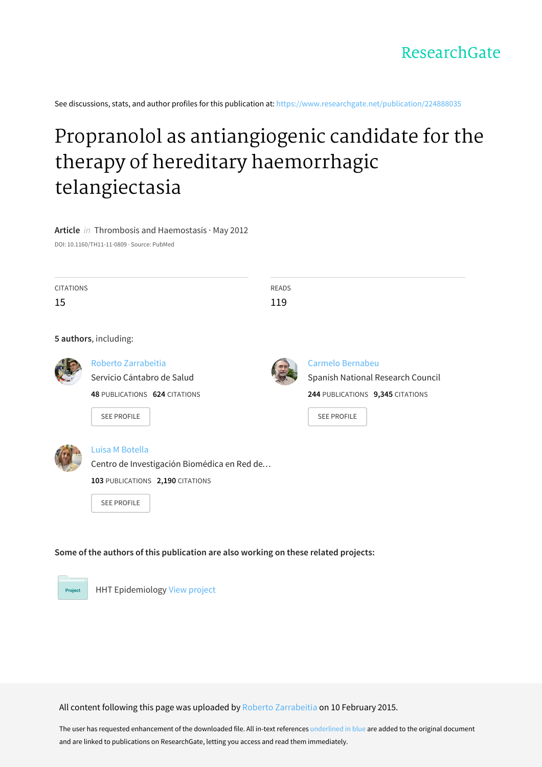See discussions, stats, and author profiles for this publication at: [https://www.researchgate.net/publication/224888035](https://www.researchgate.net/publication/224888035_Propranolol_as_antiangiogenic_candidate_for_the_therapy_of_hereditary_haemorrhagic_telangiectasia?enrichId=rgreq-e76ffd52bebb2e1fa35efd10aa6f20e4-XXX&enrichSource=Y292ZXJQYWdlOzIyNDg4ODAzNTtBUzoxOTUyODA1NTgzOTk0ODlAMTQyMzU2OTkyMTEwNw%3D%3D&el=1_x_2&_esc=publicationCoverPdf)

# Propranolol as [antiangiogenic](https://www.researchgate.net/publication/224888035_Propranolol_as_antiangiogenic_candidate_for_the_therapy_of_hereditary_haemorrhagic_telangiectasia?enrichId=rgreq-e76ffd52bebb2e1fa35efd10aa6f20e4-XXX&enrichSource=Y292ZXJQYWdlOzIyNDg4ODAzNTtBUzoxOTUyODA1NTgzOTk0ODlAMTQyMzU2OTkyMTEwNw%3D%3D&el=1_x_3&_esc=publicationCoverPdf) candidate for the therapy of hereditary haemorrhagic telangiectasia

#### **Article** in Thrombosis and Haemostasis · May 2012

DOI: 10.1160/TH11-11-0809 · Source: PubMed

| <b>CITATIONS</b> |                                             | <b>READS</b> |                                   |
|------------------|---------------------------------------------|--------------|-----------------------------------|
| 15               |                                             | 119          |                                   |
|                  |                                             |              |                                   |
|                  | 5 authors, including:                       |              |                                   |
|                  | Roberto Zarrabeitia                         |              | Carmelo Bernabeu                  |
|                  | Servicio Cántabro de Salud                  |              | Spanish National Research Council |
|                  | 48 PUBLICATIONS 624 CITATIONS               |              | 244 PUBLICATIONS 9,345 CITATIONS  |
|                  | <b>SEE PROFILE</b>                          |              | <b>SEE PROFILE</b>                |
|                  | Luisa M Botella                             |              |                                   |
|                  |                                             |              |                                   |
|                  | Centro de Investigación Biomédica en Red de |              |                                   |
|                  | 103 PUBLICATIONS 2,190 CITATIONS            |              |                                   |
|                  |                                             |              |                                   |

SEE [PROFILE](https://www.researchgate.net/profile/Luisa_Botella?enrichId=rgreq-e76ffd52bebb2e1fa35efd10aa6f20e4-XXX&enrichSource=Y292ZXJQYWdlOzIyNDg4ODAzNTtBUzoxOTUyODA1NTgzOTk0ODlAMTQyMzU2OTkyMTEwNw%3D%3D&el=1_x_7&_esc=publicationCoverPdf)

## **Some of the authors of this publication are also working on these related projects:**

Project

HHT Epidemiology View [project](https://www.researchgate.net/project/HHT-Epidemiology?enrichId=rgreq-e76ffd52bebb2e1fa35efd10aa6f20e4-XXX&enrichSource=Y292ZXJQYWdlOzIyNDg4ODAzNTtBUzoxOTUyODA1NTgzOTk0ODlAMTQyMzU2OTkyMTEwNw%3D%3D&el=1_x_9&_esc=publicationCoverPdf)

All content following this page was uploaded by Roberto [Zarrabeitia](https://www.researchgate.net/profile/Roberto_Zarrabeitia?enrichId=rgreq-e76ffd52bebb2e1fa35efd10aa6f20e4-XXX&enrichSource=Y292ZXJQYWdlOzIyNDg4ODAzNTtBUzoxOTUyODA1NTgzOTk0ODlAMTQyMzU2OTkyMTEwNw%3D%3D&el=1_x_10&_esc=publicationCoverPdf) on 10 February 2015.

The user has requested enhancement of the downloaded file. All in-text references underlined in blue are added to the original document and are linked to publications on ResearchGate, letting you access and read them immediately.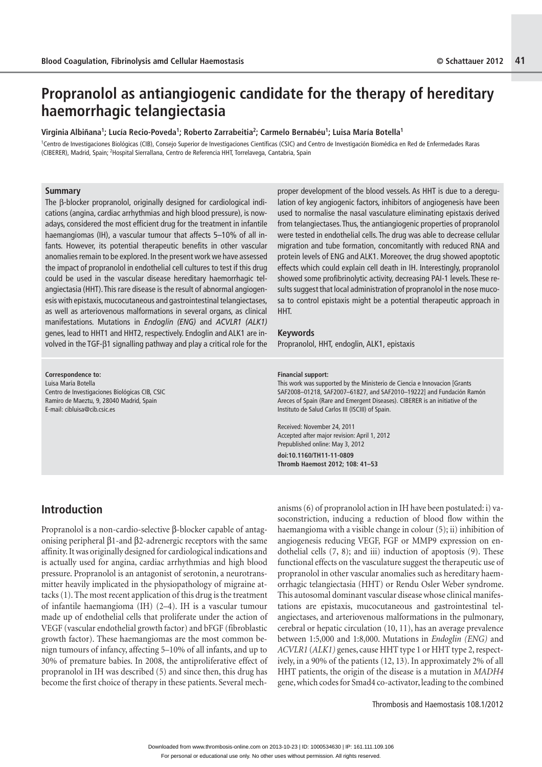## **Propranolol as antiangiogenic candidate for the therapy of hereditary haemorrhagic telangiectasia**

#### Virginia Albiñana<sup>1</sup>; Lucía Recio-Poveda<sup>1</sup>; Roberto Zarrabeitia<sup>2</sup>; Carmelo Bernabéu<sup>1</sup>; Luisa María Botella<sup>1</sup>

1 Centro de Investigaciones Biológicas (CIB), Consejo Superior de Investigaciones Científicas (CSIC) and Centro de Investigación Biomédica en Red de Enfermedades Raras (CIBERER), Madrid, Spain; <sup>2</sup>Hospital Sierrallana, Centro de Referencia HHT, Torrelavega, Cantabria, Spain

#### **Summary**

The β-blocker propranolol, originally designed for cardiological indications (angina, cardiac arrhythmias and high blood pressure), is nowadays, considered the most efficient drug for the treatment in infantile haemangiomas (IH), a vascular tumour that affects 5–10% of all infants. However, its potential therapeutic benefits in other vascular anomalies remain to be explored. In the present work we have assessed the impact of propranolol in endothelial cell cultures to test if this drug could be used in the vascular disease hereditary haemorrhagic telangiectasia (HHT). This rare disease is the result of abnormal angiogenesis with epistaxis, mucocutaneous and gastrointestinal telangiectases, as well as arteriovenous malformations in several organs, as clinical manifestations. Mutations in *Endoglin (ENG)* and *ACVLR1 (ALK1)* genes, lead to HHT1 and HHT2, respectively. Endoglin and ALK1 are involved in the TGF-β1 signalling pathway and play a critical role for the proper development of the blood vessels. As HHT is due to a deregulation of key angiogenic factors, inhibitors of angiogenesis have been used to normalise the nasal vasculature eliminating epistaxis derived from telangiectases. Thus, the antiangiogenic properties of propranolol were tested in endothelial cells. The drug was able to decrease cellular migration and tube formation, concomitantly with reduced RNA and protein levels of ENG and ALK1. Moreover, the drug showed apoptotic effects which could explain cell death in IH. Interestingly, propranolol showed some profibrinolytic activity, decreasing PAI-1 levels. These results suggest that local administration of propranolol in the nose mucosa to control epistaxis might be a potential therapeutic approach in HHT.

#### **Keywords**

Propranolol, HHT, endoglin, ALK1, epistaxis

#### **Correspondence to:**  Luisa María Botella Centro de Investigaciones Biológicas CIB, CSIC Ramiro de Maeztu, 9, 28040 Madrid, Spain E-mail: cibluisa@cib.csic.es

#### **Financial support:**

This work was supported by the Ministerio de Ciencia e Innovacion [Grants SAF2008–01218, SAF2007–61827, and SAF2010–19222] and Fundación Ramón Areces of Spain (Rare and Emergent Diseases). CIBERER is an initiative of the Instituto de Salud Carlos III (ISCIII) of Spain.

Received: November 24, 2011 Accepted after major revision: April 1, 2012 Prepublished online: May 3, 2012 **doi:10.1160/TH11-11-0809 Thromb Haemost 2012; 108: 41–53**

## **Introduction**

Propranolol is a non-cardio-selective β-blocker capable of antagonising peripheral β1-and β2-adrenergic receptors with the same affinity. It was originally designed for cardiological indications and is actually used for angina, cardiac arrhythmias and high blood pressure. Propranolol is an antagonist of serotonin, a neurotransmitter heavily implicated in the physiopathology of migraine attacks (1). The most recent application of this drug is the treatment of infantile haemangioma (IH) (2–4). IH is a vascular tumour made up of endothelial cells that proliferate under the action of VEGF (vascular endothelial growth factor) and bFGF (fibroblastic growth factor). These haemangiomas are the most common benign tumours of infancy, affecting 5–10% of all infants, and up to 30% of premature babies. In 2008, the antiproliferative effect of propranolol in IH was described (5) and since then, this drug has become the first choice of therapy in these patients. Several mechanisms (6) of propranolol action in IH have been postulated: i) vasoconstriction, inducing a reduction of blood flow within the haemangioma with a visible change in colour (5); ii) inhibition of angiogenesis reducing VEGF, FGF or MMP9 expression on endothelial cells (7, 8); and iii) induction of apoptosis (9). These functional effects on the vasculature suggest the therapeutic use of propranolol in other vascular anomalies such as hereditary haemorrhagic telangiectasia (HHT) or Rendu Osler Weber syndrome. This autosomal dominant vascular disease whose clinical manifestations are epistaxis, mucocutaneous and gastrointestinal telangiectases, and arteriovenous malformations in the pulmonary, cerebral or hepatic circulation (10, 11), has an average prevalence between 1:5,000 and 1:8,000. Mutations in *Endoglin (ENG)* and *ACVLR1* (*ALK1)* genes, cause HHT type 1 or HHT type 2, respectively, in a 90% of the patients (12, 13). In approximately 2% of all HHT patients, the origin of the disease is a mutation in *MADH4*  gene, which codes for Smad4 co-activator, leading to the combined

Thrombosis and Haemostasis 108.1/2012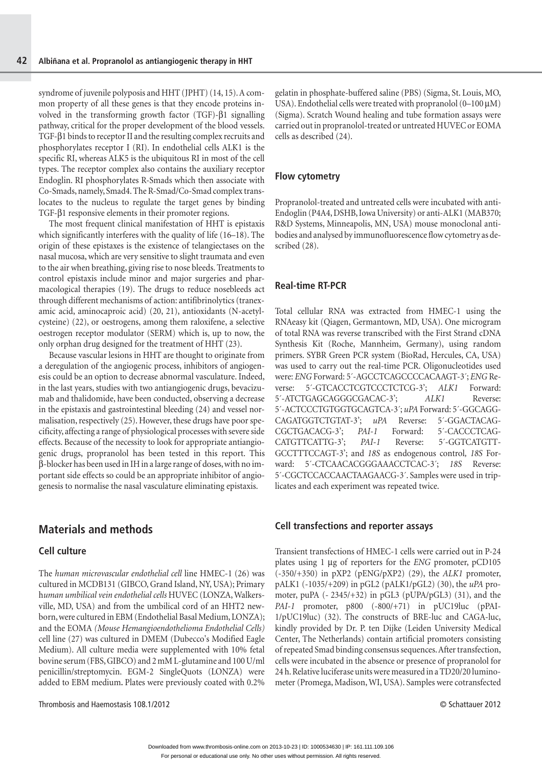syndrome of juvenile polyposis and HHT (JPHT) (14, 15). A common property of all these genes is that they encode proteins involved in the transforming growth factor (TGF)-β1 signalling pathway, critical for the proper development of the blood vessels. TGF-β1 binds to receptor II and the resulting complex recruits and phosphorylates receptor I (RI). In endothelial cells ALK1 is the specific RI, whereas ALK5 is the ubiquitous RI in most of the cell types. The receptor complex also contains the auxiliary receptor Endoglin. RI phosphorylates R-Smads which then associate with Co-Smads, namely, Smad4. The R-Smad/Co-Smad complex translocates to the nucleus to regulate the target genes by binding TGF-β1 responsive elements in their promoter regions.

The most frequent clinical manifestation of HHT is epistaxis which significantly interferes with the quality of life (16–18). The origin of these epistaxes is the existence of telangiectases on the nasal mucosa, which are very sensitive to slight traumata and even to the air when breathing, giving rise to nose bleeds. Treatments to control epistaxis include minor and major surgeries and pharmacological therapies (19). The drugs to reduce nosebleeds act through different mechanisms of action: antifibrinolytics (tranexamic acid, aminocaproic acid) (20, 21), antioxidants (N-acetylcysteine) (22), or oestrogens, among them raloxifene, a selective oestrogen receptor modulator (SERM) which is, up to now, the only orphan drug designed for the treatment of HHT (23).

Because vascular lesions in HHT are thought to originate from a deregulation of the angiogenic process, inhibitors of angiogenesis could be an option to decrease abnormal vasculature. Indeed, in the last years, studies with two antiangiogenic drugs, bevacizumab and thalidomide, have been conducted, observing a decrease in the epistaxis and gastrointestinal bleeding (24) and vessel normalisation, respectively (25). However, these drugs have poor specificity, affecting a range of physiological processes with severe side effects. Because of the necessity to look for appropriate antiangiogenic drugs, propranolol has been tested in this report. This  $β$ -blocker has been used in IH in a large range of doses, with no important side effects so could be an appropriate inhibitor of angiogenesis to normalise the nasal vasculature eliminating epistaxis.

## **Materials and methods**

#### **Cell culture**

The *human microvascular endothelial cell* line HMEC-1 (26) was cultured in MCDB131 (GIBCO, Grand Island, NY, USA); Primary h*uman umbilical vein endothelial cells* HUVEC (LONZA, Walkersville, MD, USA) and from the umbilical cord of an HHT2 newborn, were cultured in EBM (Endothelial Basal Medium, LONZA); and the EOMA *(Mouse Hemangioendothelioma Endothelial Cells)* cell line (27) was cultured in DMEM (Dubecco's Modified Eagle Medium). All culture media were supplemented with 10% fetal bovine serum (FBS, GIBCO) and 2 mM L-glutamine and 100 U/ml penicillin/streptomycin. EGM-2 SingleQuots (LONZA) were added to EBM medium**.** Plates were previously coated with 0.2%

Thrombosis and Haemostasis 108.1/2012 © Schattauer 2012

gelatin in phosphate-buffered saline (PBS) (Sigma, St. Louis, MO, USA). Endothelial cells were treated with propranolol  $(0-100 \mu M)$ (Sigma). Scratch Wound healing and tube formation assays were carried out in propranolol-treated or untreated HUVEC or EOMA cells as described (24).

#### **Flow cytometry**

Propranolol-treated and untreated cells were incubated with anti-Endoglin (P4A4, DSHB, Iowa University) or anti-ALK1 (MAB370; R&D Systems, Minneapolis, MN, USA) mouse monoclonal antibodies and analysed by immunofluorescence flow cytometry as described (28).

#### **Real-time RT-PCR**

Total cellular RNA was extracted from HMEC-1 using the RNAeasy kit (Qiagen, Germantown, MD, USA). One microgram of total RNA was reverse transcribed with the First Strand cDNA Synthesis Kit (Roche, Mannheim, Germany), using random primers. SYBR Green PCR system (BioRad, Hercules, CA, USA) was used to carry out the real-time PCR. Oligonucleotides used were: *ENG* Forward: 5´-AGCCTCAGCCCCACAAGT-3´; *ENG* Reverse: 5´-GTCACCTCGTCCCTCTCG-3'; *ALK1* Forward: 5'-ATCTGAGCAGGGCGACAC-3'; ALK1 Reverse: 5´-ACTCCCTGTGGTGCAGTCA-3´; *uPA* Forward: 5´-GGCAGG-CAGATGGTCTGTAT-3'; uPA Reverse: 5'-GGACTACAG-CGCTGACACG-3'; *PAI-1* Forward: 5'-CACCCTCAG-CATGTTCATTG-3'; *PAI-1* Reverse: 5´-GGTCATGTT - GCCTTTCCAGT-3'; and *18S* as endogenous control*, 18S* Forward: 5´-CTCAACACGGGAAACCTCAC-3´; *18S* Reverse: 5´-CGCTCCACCAACTAAGAACG-3´. Samples were used in triplicates and each experiment was repeated twice.

#### **Cell transfections and reporter assays**

Transient transfections of HMEC-1 cells were carried out in P-24 plates using 1 μg of reporters for the *ENG* promoter, pCD105 (-350/+350) in pXP2 (pENG/pXP2) (29), the *ALK1* promoter, pALK1 (-1035/+209) in pGL2 (pALK1/pGL2) (30), the *uPA* promoter, puPA (- 2345/+32) in pGL3 (pUPA/pGL3) (31), and the *PAI-1* promoter, p800 (-800/+71) in pUC19luc (pPAI-1/pUC19luc) (32). The constructs of BRE-luc and CAGA-luc, kindly provided by Dr. P. ten Dijke (Leiden University Medical Center, The Netherlands) contain artificial promoters consisting of repeated Smad binding consensus sequences. After transfection, cells were incubated in the absence or presence of propranolol for 24 h. Relative luciferase units were measured in a TD20/20 luminometer (Promega, Madison, WI, USA). Samples were cotransfected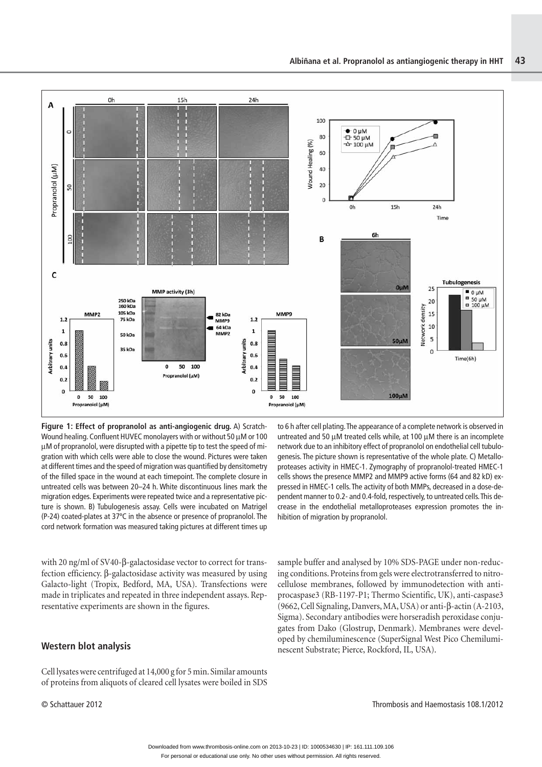

**Figure 1: Effect of propranolol as anti-angiogenic drug.** A) Scratch-Wound healing. Confluent HUVEC monolayers with or without 50 μM or 100 μM of propranolol, were disrupted with a pipette tip to test the speed of migration with which cells were able to close the wound. Pictures were taken at different times and the speed of migration was quantified by densitometry of the filled space in the wound at each timepoint. The complete closure in untreated cells was between 20–24 h. White discontinuous lines mark the migration edges. Experiments were repeated twice and a representative picture is shown. B) Tubulogenesis assay. Cells were incubated on Matrigel (P-24) coated-plates at 37ºC in the absence or presence of propranolol. The cord network formation was measured taking pictures at different times up

with 20 ng/ml of SV40-β-galactosidase vector to correct for transfection efficiency. β-galactosidase activity was measured by using Galacto-light (Tropix, Bedford, MA, USA). Transfections were made in triplicates and repeated in three independent assays. Representative experiments are shown in the figures.

#### **Western blot analysis**

Cell lysates were centrifuged at 14,000 g for 5 min. Similar amounts of proteins from aliquots of cleared cell lysates were boiled in SDS

to 6 h after cell plating. The appearance of a complete network is observed in untreated and 50 μM treated cells while, at 100 μM there is an incomplete network due to an inhibitory effect of propranolol on endothelial cell tubulogenesis. The picture shown is representative of the whole plate. C) Metalloproteases activity in HMEC-1. Zymography of propranolol-treated HMEC-1 cells shows the presence MMP2 and MMP9 active forms (64 and 82 kD) expressed in HMEC-1 cells. The activity of both MMPs, decreased in a dose-dependent manner to 0.2- and 0.4-fold, respectively, to untreated cells. This decrease in the endothelial metalloproteases expression promotes the inhibition of migration by propranolol.

sample buffer and analysed by 10% SDS-PAGE under non-reducing conditions. Proteins from gels were electrotransferred to nitrocellulose membranes, followed by immunodetection with antiprocaspase3 (RB-1197-P1; Thermo Scientific, UK), anti-caspase3 (9662, Cell Signaling, Danvers, MA, USA) or anti-β-actin (A-2103, Sigma). Secondary antibodies were horseradish peroxidase conjugates from Dako (Glostrup, Denmark). Membranes were developed by chemiluminescence (SuperSignal West Pico Chemiluminescent Substrate; Pierce, Rockford, IL, USA).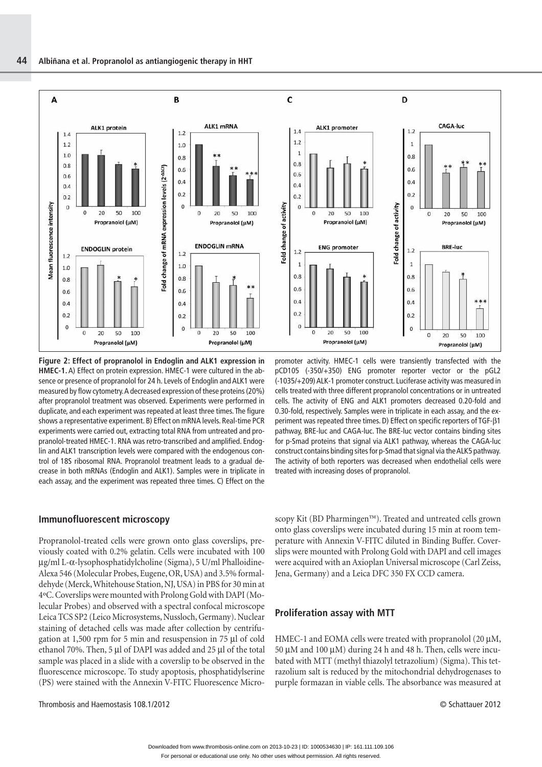

**Figure 2: Effect of propranolol in Endoglin and ALK1 expression in HMEC-1.** A) Effect on protein expression. HMEC-1 were cultured in the absence or presence of propranolol for 24 h. Levels of Endoglin and ALK1 were measured by flow cytometry. A decreased expression of these proteins (20%) after propranolol treatment was observed. Experiments were performed in duplicate, and each experiment was repeated at least three times. The figure shows a representative experiment. B) Effect on mRNA levels. Real-time PCR experiments were carried out, extracting total RNA from untreated and propranolol-treated HMEC-1. RNA was retro-transcribed and amplified. Endoglin and ALK1 transcription levels were compared with the endogenous control of 18S ribosomal RNA. Propranolol treatment leads to a gradual decrease in both mRNAs (Endoglin and ALK1). Samples were in triplicate in each assay, and the experiment was repeated three times. C) Effect on the

#### **Immunofluorescent microscopy**

Propranolol-treated cells were grown onto glass coverslips, previously coated with 0.2% gelatin. Cells were incubated with 100 μg/ml L-α-lysophosphatidylcholine (Sigma), 5 U/ml Phalloidine-Alexa 546 (Molecular Probes, Eugene, OR, USA) and 3.5% formaldehyde (Merck, Whitehouse Station, NJ, USA) in PBS for 30 min at 4ºC. Coverslips were mounted with Prolong Gold with DAPI (Molecular Probes) and observed with a spectral confocal microscope Leica TCS SP2 (Leico Microsystems, Nussloch, Germany). Nuclear staining of detached cells was made after collection by centrifugation at 1,500 rpm for 5 min and resuspension in 75 μl of cold ethanol 70%. Then, 5 μl of DAPI was added and 25 μl of the total sample was placed in a slide with a coverslip to be observed in the fluorescence microscope. To study apoptosis, phosphatidylserine (PS) were stained with the Annexin V-FITC Fluorescence Micropromoter activity. HMEC-1 cells were transiently transfected with the pCD105 (-350/+350) ENG promoter reporter vector or the pGL2 (-1035/+209) ALK-1 promoter construct. Luciferase activity was measured in cells treated with three different propranolol concentrations or in untreated cells. The activity of ENG and ALK1 promoters decreased 0.20-fold and 0.30-fold, respectively. Samples were in triplicate in each assay, and the experiment was repeated three times. D) Effect on specific reporters of TGF-β1 pathway, BRE-luc and CAGA-luc. The BRE-luc vector contains binding sites for p-Smad proteins that signal via ALK1 pathway, whereas the CAGA-luc construct contains binding sites for p-Smad that signal via the ALK5 pathway. The activity of both reporters was decreased when endothelial cells were treated with increasing doses of propranolol.

scopy Kit (BD Pharmingen™). Treated and untreated cells grown onto glass coverslips were incubated during 15 min at room temperature with Annexin V-FITC diluted in Binding Buffer. Coverslips were mounted with Prolong Gold with DAPI and cell images were acquired with an Axioplan Universal microscope (Carl Zeiss, Jena, Germany) and a Leica DFC 350 FX CCD camera.

#### **Proliferation assay with MTT**

HMEC-1 and EOMA cells were treated with propranolol (20 μM, 50 μM and 100 μM) during 24 h and 48 h. Then, cells were incubated with MTT (methyl thiazolyl tetrazolium) (Sigma). This tetrazolium salt is reduced by the mitochondrial dehydrogenases to purple formazan in viable cells. The absorbance was measured at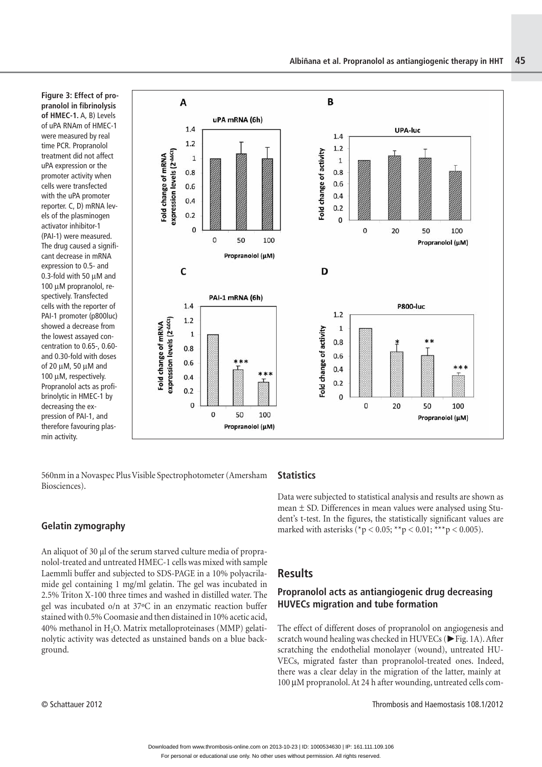**Figure 3: Effect of propranolol in fibrinolysis of HMEC-1.** A, B) Levels of uPA RNAm of HMEC-1 were measured by real time PCR. Propranolol treatment did not affect uPA expression or the promoter activity when cells were transfected with the uPA promoter reporter. C, D) mRNA levels of the plasminogen activator inhibitor-1 (PAI-1) were measured. The drug caused a significant decrease in mRNA expression to 0.5- and 0.3-fold with 50 μM and 100 μM propranolol, respectively. Transfected cells with the reporter of PAI-1 promoter (p800luc) showed a decrease from the lowest assayed concentration to 0.65-, 0.60 and 0.30-fold with doses of 20 μM, 50 μM and 100 μM, respectively. Propranolol acts as profibrinolytic in HMEC-1 by decreasing the expression of PAI-1, and therefore favouring plasmin activity.



560nm in a Novaspec Plus Visible Spectrophotometer (Amersham Biosciences).

### **Gelatin zymography**

An aliquot of 30 μl of the serum starved culture media of propranolol-treated and untreated HMEC-1 cells was mixed with sample Laemmli buffer and subjected to SDS-PAGE in a 10% polyacrilamide gel containing 1 mg/ml gelatin. The gel was incubated in 2.5% Triton X-100 three times and washed in distilled water. The gel was incubated o/n at 37ºC in an enzymatic reaction buffer stained with 0.5% Coomasie and then distained in 10% acetic acid, 40% methanol in  $H_2O$ . Matrix metalloproteinases (MMP) gelatinolytic activity was detected as unstained bands on a blue background.

#### **Statistics**

Data were subjected to statistical analysis and results are shown as mean ± SD. Differences in mean values were analysed using Student's t-test. In the figures, the statistically significant values are marked with asterisks (\*p < 0.05; \*\*p < 0.01; \*\*\*p < 0.005).

### **Results**

### **Propranolol acts as antiangiogenic drug decreasing HUVECs migration and tube formation**

The effect of different doses of propranolol on angiogenesis and scratch wound healing was checked in  $HUVECs$  ( $\blacktriangleright$  Fig. 1A). After scratching the endothelial monolayer (wound), untreated HU-VECs, migrated faster than propranolol-treated ones. Indeed, there was a clear delay in the migration of the latter, mainly at 100 μM propranolol. At 24 h after wounding, untreated cells com-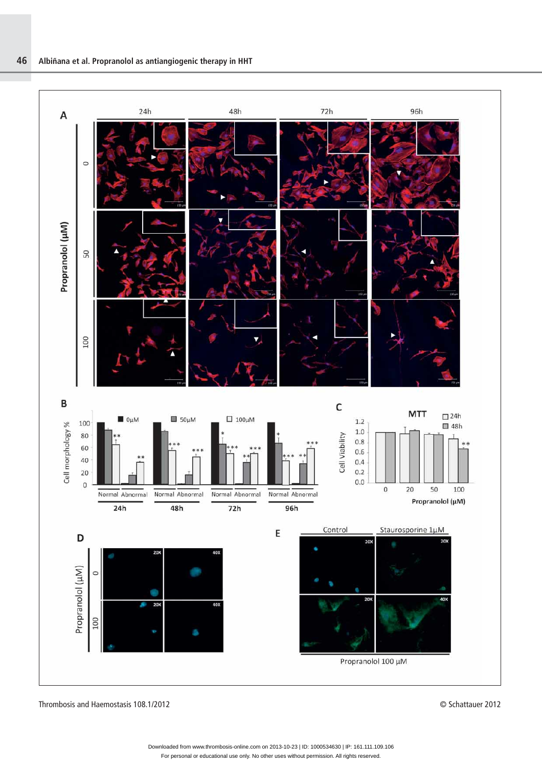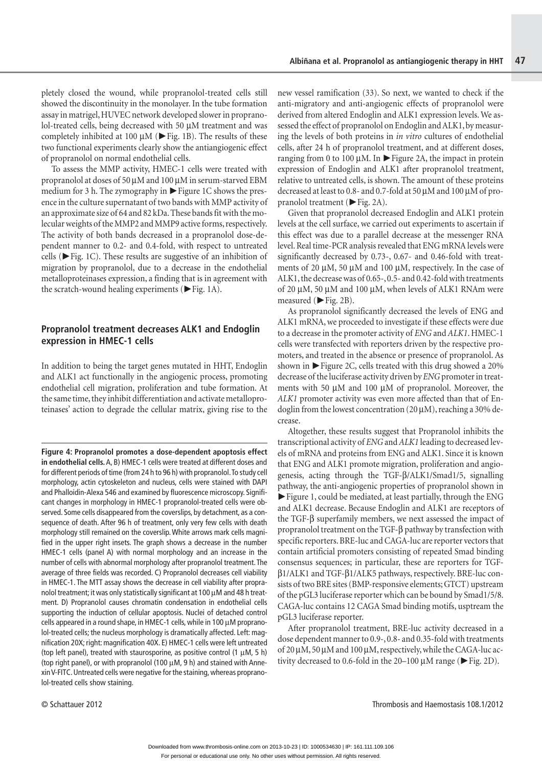pletely closed the wound, while propranolol-treated cells still showed the discontinuity in the monolayer. In the tube formation assay in matrigel, HUVEC network developed slower in propranolol-treated cells, being decreased with 50 μM treatment and was completely inhibited at 100  $\mu$ M ( $\blacktriangleright$  Fig. 1B). The results of these two functional experiments clearly show the antiangiogenic effect of propranolol on normal endothelial cells.

To assess the MMP activity, HMEC-1 cells were treated with propranolol at doses of 50 μM and 100 μM in serum-starved EBM medium for 3 h. The zymography in  $\blacktriangleright$  Figure 1C shows the presence in the culture supernatant of two bands with MMP activity of an approximate size of 64 and 82 kDa. These bands fit with the molecular weights of the MMP2 and MMP9 active forms, respectively. The activity of both bands decreased in a propranolol dose-dependent manner to 0.2- and 0.4-fold, with respect to untreated cells ( $\blacktriangleright$  Fig. 1C). These results are suggestive of an inhibition of migration by propranolol, due to a decrease in the endothelial metalloproteinases expression, a finding that is in agreement with the scratch-wound healing experiments ( $\blacktriangleright$  Fig. 1A).

#### **Propranolol treatment decreases ALK1 and Endoglin expression in HMEC-1 cells**

In addition to being the target genes mutated in HHT, Endoglin and ALK1 act functionally in the angiogenic process, promoting endothelial cell migration, proliferation and tube formation. At the same time, they inhibit differentiation and activate metalloproteinases' action to degrade the cellular matrix, giving rise to the

**Figure 4: Propranolol promotes a dose-dependent apoptosis effect in endothelial cells.** A, B) HMEC-1 cells were treated at different doses and for different periods of time (from 24 h to 96 h) with propranolol. To study cell morphology, actin cytoskeleton and nucleus, cells were stained with DAPI and Phalloidin-Alexa 546 and examined by fluorescence microscopy. Significant changes in morphology in HMEC-1 propranolol-treated cells were observed. Some cells disappeared from the coverslips, by detachment, as a consequence of death. After 96 h of treatment, only very few cells with death morphology still remained on the coverslip. White arrows mark cells magnified in the upper right insets. The graph shows a decrease in the number HMEC-1 cells (panel A) with normal morphology and an increase in the number of cells with abnormal morphology after propranolol treatment. The average of three fields was recorded. C) Propranolol decreases cell viability in HMEC-1. The MTT assay shows the decrease in cell viability after propranolol treatment; it was only statistically significant at 100 μM and 48 h treatment. D) Propranolol causes chromatin condensation in endothelial cells supporting the induction of cellular apoptosis. Nuclei of detached control cells appeared in a round shape, in HMEC-1 cells, while in 100 μM propranolol-treated cells; the nucleus morphology is dramatically affected. Left: magnification 20X; right: magnification 40X. E) HMEC-1 cells were left untreated (top left panel), treated with staurosporine, as positive control (1 μM, 5 h) (top right panel), or with propranolol (100  $\mu$ M, 9 h) and stained with Annexin V-FITC. Untreated cells were negative for the staining, whereas propranolol-treated cells show staining.

new vessel ramification (33). So next, we wanted to check if the anti-migratory and anti-angiogenic effects of propranolol were derived from altered Endoglin and ALK1 expression levels. We assessed the effect of propranolol on Endoglin and ALK1, by measuring the levels of both proteins in *in vitro* cultures of endothelial cells, after 24 h of propranolol treatment, and at different doses, ranging from 0 to 100  $\mu$ M. In  $\blacktriangleright$  Figure 2A, the impact in protein expression of Endoglin and ALK1 after propranolol treatment, relative to untreated cells, is shown. The amount of these proteins decreased at least to 0.8- and 0.7-fold at 50 μM and 100 μM of propranolol treatment ( $\blacktriangleright$  Fig. 2A).

Given that propranolol decreased Endoglin and ALK1 protein levels at the cell surface, we carried out experiments to ascertain if this effect was due to a parallel decrease at the messenger RNA level. Real time-PCR analysis revealed that ENG mRNA levels were significantly decreased by 0.73-, 0.67- and 0.46-fold with treatments of 20 μM, 50 μM and 100 μM, respectively. In the case of ALK1, the decrease was of 0.65-, 0.5- and 0.42-fold with treatments of 20 μM, 50 μM and 100 μM, when levels of ALK1 RNAm were measured ( $\blacktriangleright$  Fig. 2B).

As propranolol significantly decreased the levels of ENG and ALK1 mRNA, we proceeded to investigate if these effects were due to a decrease in the promoter activity of *ENG* and *ALK1*. HMEC-1 cells were transfected with reporters driven by the respective promoters, and treated in the absence or presence of propranolol. As shown in  $\blacktriangleright$  Figure 2C, cells treated with this drug showed a 20% decrease of the luciferase activity driven by *ENG* promoter in treatments with 50 μM and 100 μM of propranolol. Moreover, the *ALK1* promoter activity was even more affected than that of Endoglin from the lowest concentration (20  $\mu$ M), reaching a 30% decrease.

Altogether, these results suggest that Propranolol inhibits the transcriptional activity of *ENG* and *ALK1* leading to decreased levels of mRNA and proteins from ENG and ALK1. Since it is known that ENG and ALK1 promote migration, proliferation and angiogenesis, acting through the TGF-β/ALK1/Smad1/5, signalling pathway, the anti-angiogenic properties of propranolol shown in -Figure 1, could be mediated, at least partially, through the ENG and ALK1 decrease. Because Endoglin and ALK1 are receptors of the TGF-β superfamily members, we next assessed the impact of propranolol treatment on the TGF-β pathway by transfection with specific reporters. BRE-luc and CAGA-luc are reporter vectors that contain artificial promoters consisting of repeated Smad binding consensus sequences; in particular, these are reporters for TGFβ1/ALK1 and TGF-β1/ALK5 pathways, respectively. BRE-luc consists of two BRE sites (BMP-responsive elements; GTCT) upstream of the pGL3 luciferase reporter which can be bound by Smad1/5/8. CAGA-luc contains 12 CAGA Smad binding motifs, usptream the pGL3 luciferase reporter.

After propranolol treatment, BRE-luc activity decreased in a dose dependent manner to 0.9-, 0.8- and 0.35-fold with treatments of 20 μM, 50 μM and 100 μM, respectively, while the CAGA-luc activity decreased to 0.6-fold in the 20–100  $\mu$ M range ( $\blacktriangleright$  Fig. 2D).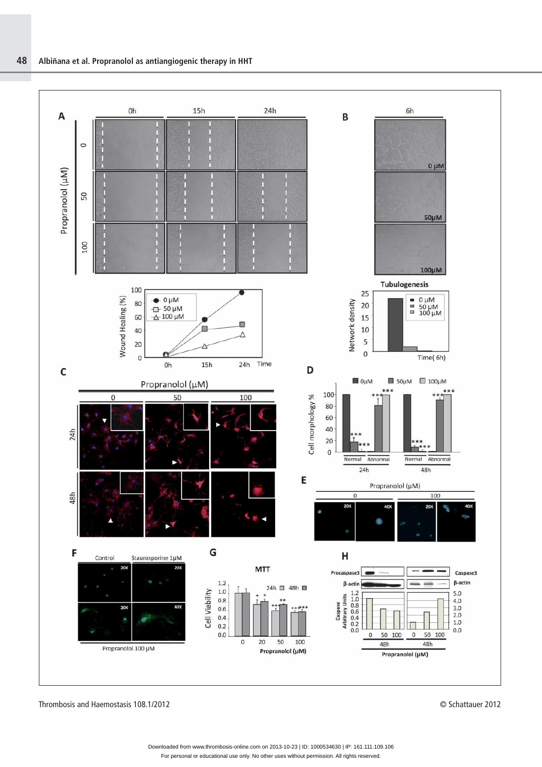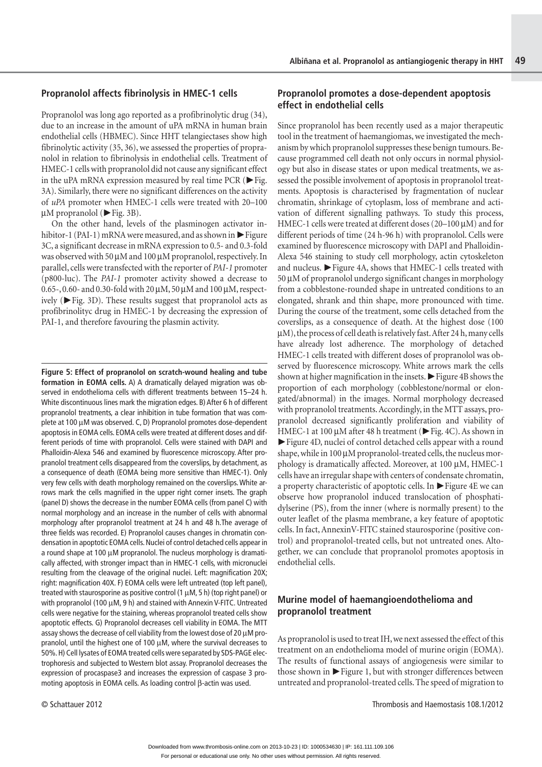#### **Propranolol affects fibrinolysis in HMEC-1 cells**

Propranolol was long ago reported as a profibrinolytic drug (34), due to an increase in the amount of uPA mRNA in human brain endothelial cells (HBMEC). Since HHT telangiectases show high fibrinolytic activity (35, 36), we assessed the properties of propranolol in relation to fibrinolysis in endothelial cells. Treatment of HMEC-1 cells with propranolol did not cause any significant effect in the uPA mRNA expression measured by real time PCR ( $\blacktriangleright$  Fig. 3A). Similarly, there were no significant differences on the activity of *uPA* promoter when HMEC-1 cells were treated with 20–100  $\mu$ M propranolol ( $\blacktriangleright$  Fig. 3B).

On the other hand, levels of the plasminogen activator inhibitor-1 (PAI-1) mRNA were measured, and as shown in  $\blacktriangleright$  Figure 3C, a significant decrease in mRNA expression to 0.5- and 0.3-fold was observed with 50 μM and 100 μM propranolol, respectively. In parallel, cells were transfected with the reporter of *PAI-1* promoter (p800-luc). The *PAI-1* promoter activity showed a decrease to 0.65-, 0.60- and 0.30-fold with 20 μM, 50 μM and 100 μM, respectively ( $\blacktriangleright$  Fig. 3D). These results suggest that propranolol acts as profibrinolityc drug in HMEC-1 by decreasing the expression of PAI-1, and therefore favouring the plasmin activity.

**Figure 5: Effect of propranolol on scratch-wound healing and tube formation in EOMA cells.** A) A dramatically delayed migration was observed in endothelioma cells with different treatments between 15–24 h. White discontinuous lines mark the migration edges. B) After 6 h of different propranolol treatments, a clear inhibition in tube formation that was complete at 100 μM was observed. C, D) Propranolol promotes dose-dependent apoptosis in EOMA cells. EOMA cells were treated at different doses and different periods of time with propranolol. Cells were stained with DAPI and Phalloidin-Alexa 546 and examined by fluorescence microscopy. After propranolol treatment cells disappeared from the coverslips, by detachment, as a consequence of death (EOMA being more sensitive than HMEC-1). Only very few cells with death morphology remained on the coverslips. White arrows mark the cells magnified in the upper right corner insets. The graph (panel D) shows the decrease in the number EOMA cells (from panel C) with normal morphology and an increase in the number of cells with abnormal morphology after propranolol treatment at 24 h and 48 h.The average of three fields was recorded. E) Propranolol causes changes in chromatin condensation in apoptotic EOMA cells. Nuclei of control detached cells appear in a round shape at 100 μM propranolol. The nucleus morphology is dramatically affected, with stronger impact than in HMEC-1 cells, with micronuclei resulting from the cleavage of the original nuclei. Left: magnification 20X; right: magnification 40X. F) EOMA cells were left untreated (top left panel), treated with staurosporine as positive control (1 μM, 5 h) (top right panel) or with propranolol (100 μM, 9 h) and stained with Annexin V-FITC. Untreated cells were negative for the staining, whereas propranolol treated cells show apoptotic effects. G) Propranolol decreases cell viability in EOMA. The MTT assay shows the decrease of cell viability from the lowest dose of 20 μM propranolol, until the highest one of 100 μM, where the survival decreases to 50%. H) Cell lysates of EOMA treated cells were separated by SDS-PAGE electrophoresis and subjected to Western blot assay. Propranolol decreases the expression of procaspase3 and increases the expression of caspase 3 promoting apoptosis in EOMA cells. As loading control β-actin was used.

#### **Propranolol promotes a dose-dependent apoptosis effect in endothelial cells**

Since propranolol has been recently used as a major therapeutic tool in the treatment of haemangiomas, we investigated the mechanism by which propranolol suppresses these benign tumours. Because programmed cell death not only occurs in normal physiology but also in disease states or upon medical treatments, we assessed the possible involvement of apoptosis in propranolol treatments. Apoptosis is characterised by fragmentation of nuclear chromatin, shrinkage of cytoplasm, loss of membrane and activation of different signalling pathways. To study this process, HMEC-1 cells were treated at different doses (20–100 μM) and for different periods of time (24 h-96 h) with propranolol. Cells were examined by fluorescence microscopy with DAPI and Phalloidin-Alexa 546 staining to study cell morphology, actin cytoskeleton and nucleus.  $\blacktriangleright$  Figure 4A, shows that HMEC-1 cells treated with 50 μM of propranolol undergo significant changes in morphology from a cobblestone-rounded shape in untreated conditions to an elongated, shrank and thin shape, more pronounced with time. During the course of the treatment, some cells detached from the coverslips, as a consequence of death. At the highest dose (100 μM), the process of cell death is relatively fast. After 24 h, many cells have already lost adherence. The morphology of detached HMEC-1 cells treated with different doses of propranolol was observed by fluorescence microscopy. White arrows mark the cells shown at higher magnification in the insets.  $\blacktriangleright$  Figure 4B shows the proportion of each morphology (cobblestone/normal or elongated/abnormal) in the images. Normal morphology decreased with propranolol treatments. Accordingly, in the MTT assays, propranolol decreased significantly proliferation and viability of HMEC-1 at 100  $\mu$ M after 48 h treatment ( $\blacktriangleright$  Fig. 4C). As shown in -Figure 4D, nuclei of control detached cells appear with a round shape, while in 100 μM propranolol-treated cells, the nucleus morphology is dramatically affected. Moreover, at 100 μM, HMEC-1 cells have an irregular shape with centers of condensate chromatin, a property characteristic of apoptotic cells. In  $\blacktriangleright$  Figure 4E we can observe how propranolol induced translocation of phosphatidylserine (PS), from the inner (where is normally present) to the outer leaflet of the plasma membrane, a key feature of apoptotic cells. In fact, AnnexinV-FITC stained staurosporine (positive control) and propranolol-treated cells, but not untreated ones. Altogether, we can conclude that propranolol promotes apoptosis in endothelial cells.

### **Murine model of haemangioendothelioma and propranolol treatment**

As propranolol is used to treat IH, we next assessed the effect of this treatment on an endothelioma model of murine origin (EOMA). The results of functional assays of angiogenesis were similar to those shown in  $\blacktriangleright$  Figure 1, but with stronger differences between untreated and propranolol-treated cells. The speed of migration to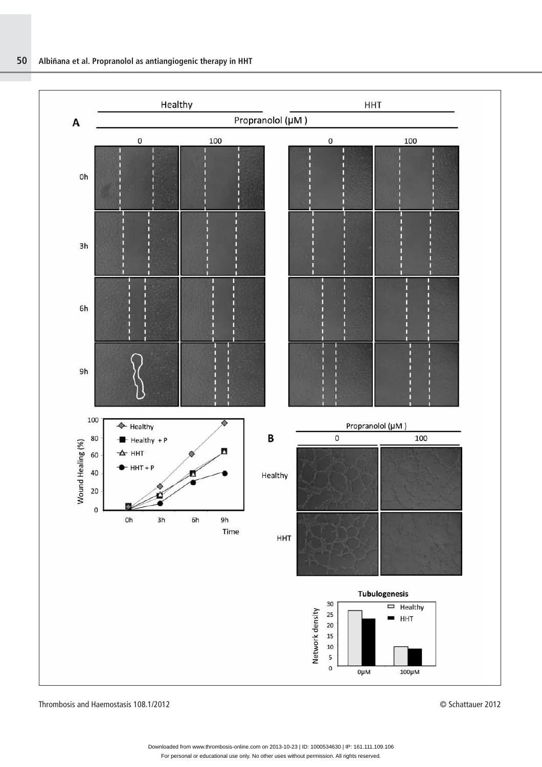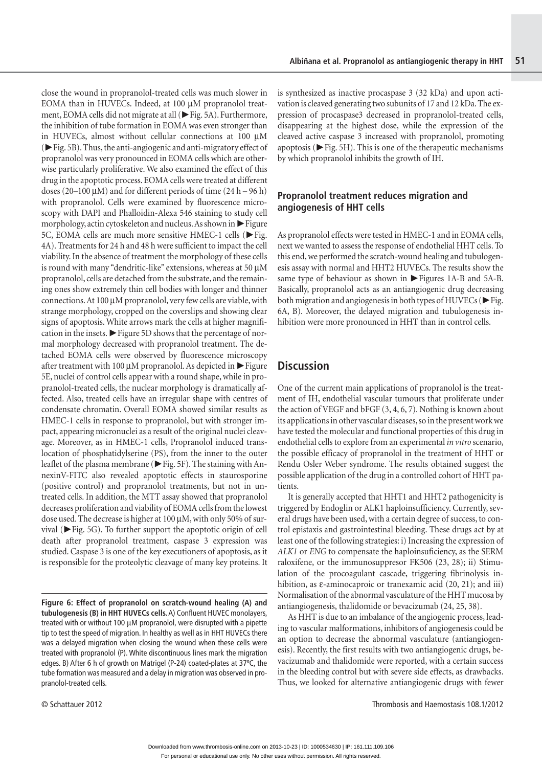close the wound in propranolol-treated cells was much slower in EOMA than in HUVECs. Indeed, at 100 μM propranolol treatment, EOMA cells did not migrate at all ( $\blacktriangleright$  Fig. 5A). Furthermore, the inhibition of tube formation in EOMA was even stronger than in HUVECs, almost without cellular connections at 100 μM ( $\triangleright$  Fig. 5B). Thus, the anti-angiogenic and anti-migratory effect of propranolol was very pronounced in EOMA cells which are otherwise particularly proliferative. We also examined the effect of this drug in the apoptotic process. EOMA cells were treated at different doses (20–100  $\mu$ M) and for different periods of time (24 h – 96 h) with propranolol. Cells were examined by fluorescence microscopy with DAPI and Phalloidin-Alexa 546 staining to study cell morphology, actin cytoskeleton and nucleus. As shown in  $\blacktriangleright$  Figure 5C, EOMA cells are much more sensitive HMEC-1 cells ( $\blacktriangleright$  Fig. 4A). Treatments for 24 h and 48 h were sufficient to impact the cell viability. In the absence of treatment the morphology of these cells is round with many "dendritic-like" extensions, whereas at 50 μM propranolol, cells are detached from the substrate, and the remaining ones show extremely thin cell bodies with longer and thinner connections. At 100 μM propranolol, very few cells are viable, with strange morphology, cropped on the coverslips and showing clear signs of apoptosis. White arrows mark the cells at higher magnification in the insets.  $\blacktriangleright$  Figure 5D shows that the percentage of normal morphology decreased with propranolol treatment. The detached EOMA cells were observed by fluorescence microscopy after treatment with 100  $\mu$ M propranolol. As depicted in  $\blacktriangleright$  Figure 5E, nuclei of control cells appear with a round shape, while in propranolol-treated cells, the nuclear morphology is dramatically affected. Also, treated cells have an irregular shape with centres of condensate chromatin. Overall EOMA showed similar results as HMEC-1 cells in response to propranolol, but with stronger impact, appearing micronuclei as a result of the original nuclei cleavage. Moreover, as in HMEC-1 cells, Propranolol induced translocation of phosphatidylserine (PS), from the inner to the outer leaflet of the plasma membrane ( $\blacktriangleright$  Fig. 5F). The staining with AnnexinV-FITC also revealed apoptotic effects in staurosporine (positive control) and propranolol treatments, but not in untreated cells. In addition, the MTT assay showed that propranolol decreases proliferation and viability of EOMA cells from the lowest dose used. The decrease is higher at 100 μM, with only 50% of survival ( $\blacktriangleright$  Fig. 5G). To further support the apoptotic origin of cell death after propranolol treatment, caspase 3 expression was studied. Caspase 3 is one of the key executioners of apoptosis, as it is responsible for the proteolytic cleavage of many key proteins. It

is synthesized as inactive procaspase 3 (32 kDa) and upon activation is cleaved generating two subunits of 17 and 12 kDa. The expression of procaspase3 decreased in propranolol-treated cells, disappearing at the highest dose, while the expression of the cleaved active caspase 3 increased with propranolol, promoting apoptosis ( $\blacktriangleright$  Fig. 5H). This is one of the therapeutic mechanisms by which propranolol inhibits the growth of IH.

## **Propranolol treatment reduces migration and angiogenesis of HHT cells**

As propranolol effects were tested in HMEC-1 and in EOMA cells, next we wanted to assess the response of endothelial HHT cells. To this end, we performed the scratch-wound healing and tubulogenesis assay with normal and HHT2 HUVECs. The results show the same type of behaviour as shown in  $\blacktriangleright$  Figures 1A-B and 5A-B. Basically, propranolol acts as an antiangiogenic drug decreasing both migration and angiogenesis in both types of HUVECs ( $\blacktriangleright$  Fig. 6A, B). Moreover, the delayed migration and tubulogenesis inhibition were more pronounced in HHT than in control cells.

## **Discussion**

One of the current main applications of propranolol is the treatment of IH, endothelial vascular tumours that proliferate under the action of VEGF and bFGF (3, 4, 6, 7). Nothing is known about its applications in other vascular diseases, so in the present work we have tested the molecular and functional properties of this drug in endothelial cells to explore from an experimental *in vitro* scenario, the possible efficacy of propranolol in the treatment of HHT or Rendu Osler Weber syndrome. The results obtained suggest the possible application of the drug in a controlled cohort of HHT patients.

It is generally accepted that HHT1 and HHT2 pathogenicity is triggered by Endoglin or ALK1 haploinsufficiency. Currently, several drugs have been used, with a certain degree of success, to control epistaxis and gastrointestinal bleeding. These drugs act by at least one of the following strategies: i) Increasing the expression of *ALK1* or *ENG* to compensate the haploinsuficiency, as the SERM raloxifene, or the immunosuppresor FK506 (23, 28); ii) Stimulation of the procoagulant cascade, triggering fibrinolysis inhibition, as ε-aminocaproic or tranexamic acid (20, 21); and iii) Normalisation of the abnormal vasculature of the HHT mucosa by antiangiogenesis, thalidomide or bevacizumab (24, 25, 38).

As HHT is due to an imbalance of the angiogenic process, leading to vascular malformations, inhibitors of angiogenesis could be an option to decrease the abnormal vasculature (antiangiogenesis). Recently, the first results with two antiangiogenic drugs, bevacizumab and thalidomide were reported, with a certain success in the bleeding control but with severe side effects, as drawbacks. Thus, we looked for alternative antiangiogenic drugs with fewer

**Figure 6: Effect of propranolol on scratch-wound healing (A) and tubulogenesis (B) in HHT HUVECs cells.** A) Confluent HUVEC monolayers, treated with or without 100 μM propranolol, were disrupted with a pipette tip to test the speed of migration. In healthy as well as in HHT HUVECs there was a delayed migration when closing the wound when these cells were treated with propranolol (P). White discontinuous lines mark the migration edges. B) After 6 h of growth on Matrigel (P-24) coated-plates at 37ºC, the tube formation was measured and a delay in migration was observed in propranolol-treated cells.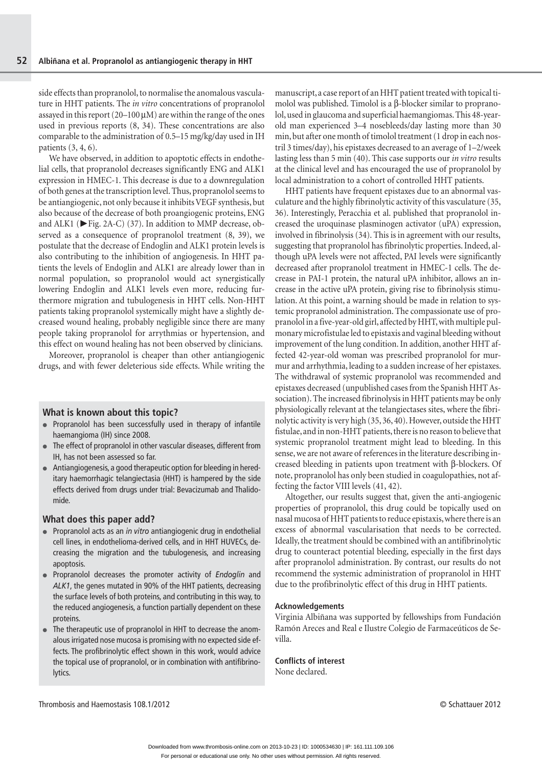side effects than propranolol, to normalise the anomalous vasculature in HHT patients. The *in vitro* concentrations of propranolol assayed in this report ( $20-100 \mu$ M) are within the range of the ones used in previous reports (8, 34). These concentrations are also comparable to the administration of 0.5–15 mg/kg/day used in IH patients (3, 4, 6).

We have observed, in addition to apoptotic effects in endothelial cells, that propranolol decreases significantly ENG and ALK1 expression in HMEC-1. This decrease is due to a downregulation of both genes at the transcription level. Thus, propranolol seems to be antiangiogenic, not only because it inhibits VEGF synthesis, but also because of the decrease of both proangiogenic proteins, ENG and ALK1 (▶Fig. 2A-C) (37). In addition to MMP decrease, observed as a consequence of propranolol treatment (8, 39), we postulate that the decrease of Endoglin and ALK1 protein levels is also contributing to the inhibition of angiogenesis. In HHT patients the levels of Endoglin and ALK1 are already lower than in normal population, so propranolol would act synergistically lowering Endoglin and ALK1 levels even more, reducing furthermore migration and tubulogenesis in HHT cells. Non-HHT patients taking propranolol systemically might have a slightly decreased wound healing, probably negligible since there are many people taking propranolol for arrythmias or hypertension, and this effect on wound healing has not been observed by clinicians.

Moreover, propranolol is cheaper than other antiangiogenic drugs, and with fewer deleterious side effects. While writing the

#### **What is known about this topic?**

- Propranolol has been successfully used in therapy of infantile haemangioma (IH) since 2008.
- The effect of propranolol in other vascular diseases, different from IH, has not been assessed so far.
- Antiangiogenesis, a good therapeutic option for bleeding in hereditary haemorrhagic telangiectasia (HHT) is hampered by the side effects derived from drugs under trial: Bevacizumab and Thalidomide.

#### **What does this paper add?**

- Propranolol acts as an *in vitro* antiangiogenic drug in endothelial cell lines, in endothelioma-derived cells, and in HHT HUVECs, decreasing the migration and the tubulogenesis, and increasing apoptosis.
- Propranolol decreases the promoter activity of *Endoglin* and *ALK1*, the genes mutated in 90% of the HHT patients, decreasing the surface levels of both proteins, and contributing in this way, to the reduced angiogenesis, a function partially dependent on these proteins.
- The therapeutic use of propranolol in HHT to decrease the anomalous irrigated nose mucosa is promising with no expected side effects. The profibrinolytic effect shown in this work, would advice the topical use of propranolol, or in combination with antifibrinolytics.

manuscript, a case report of an HHT patient treated with topical timolol was published. Timolol is a β-blocker similar to propranolol, used in glaucoma and superficial haemangiomas. This 48-yearold man experienced 3–4 nosebleeds/day lasting more than 30 min, but after one month of timolol treatment (1 drop in each nostril 3 times/day), his epistaxes decreased to an average of 1–2/week lasting less than 5 min (40). This case supports our *in vitro* results at the clinical level and has encouraged the use of propranolol by local administration to a cohort of controlled HHT patients.

HHT patients have frequent epistaxes due to an abnormal vasculature and the highly fibrinolytic activity of this vasculature (35, 36). Interestingly, Peracchia et al. published that propranolol increased the uroquinase plasminogen activator (uPA) expression, involved in fibrinolysis (34). This is in agreement with our results, suggesting that propranolol has fibrinolytic properties. Indeed, although uPA levels were not affected, PAI levels were significantly decreased after propranolol treatment in HMEC-1 cells. The decrease in PAI-1 protein, the natural uPA inhibitor, allows an increase in the active uPA protein, giving rise to fibrinolysis stimulation. At this point, a warning should be made in relation to systemic propranolol administration. The compassionate use of propranolol in a five-year-old girl, affected by HHT, with multiple pulmonary microfistulae led to epistaxis and vaginal bleeding without improvement of the lung condition. In addition, another HHT affected 42-year-old woman was prescribed propranolol for murmur and arrhythmia, leading to a sudden increase of her epistaxes. The withdrawal of systemic propranolol was recommended and epistaxes decreased (unpublished cases from the Spanish HHT Association). The increased fibrinolysis in HHT patients may be only physiologically relevant at the telangiectases sites, where the fibrinolytic activity is very high (35, 36, 40). However, outside the HHT fistulae, and in non-HHT patients, there is no reason to believe that systemic propranolol treatment might lead to bleeding. In this sense, we are not aware of references in the literature describing increased bleeding in patients upon treatment with β-blockers. Of note, propranolol has only been studied in coagulopathies, not affecting the factor VIII levels (41, 42).

Altogether, our results suggest that, given the anti-angiogenic properties of propranolol, this drug could be topically used on nasal mucosa of HHT patients to reduce epistaxis, where there is an excess of abnormal vascularisation that needs to be corrected. Ideally, the treatment should be combined with an antifibrinolytic drug to counteract potential bleeding, especially in the first days after propranolol administration. By contrast, our results do not recommend the systemic administration of propranolol in HHT due to the profibrinolytic effect of this drug in HHT patients.

#### **Acknowledgements**

Virginia Albiñana was supported by fellowships from Fundación Ramón Areces and Real e Ilustre Colegio de Farmaceúticos de Sevilla.

#### **Conflicts of interest**  None declared.